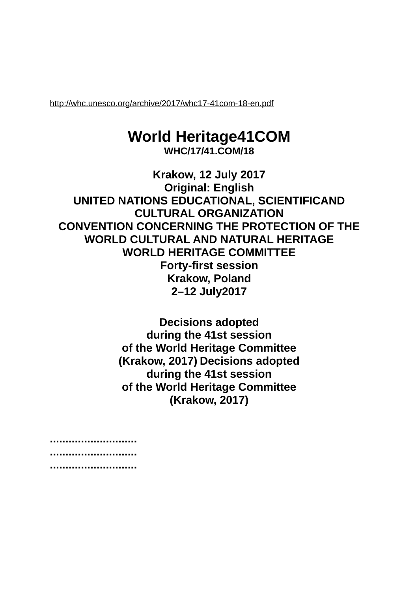<http://whc.unesco.org/archive/2017/whc17-41com-18-en.pdf>

## **World Heritage41COM**

**WHC/17/41.COM/18**

**Krakow, 12 July 2017 Original: English UNITED NATIONS EDUCATIONAL, SCIENTIFICAND CULTURAL ORGANIZATION CONVENTION CONCERNING THE PROTECTION OF THE WORLD CULTURAL AND NATURAL HERITAGE WORLD HERITAGE COMMITTEE Forty-first session Krakow, Poland 2–12 July2017**

> **Decisions adopted during the 41st session of the World Heritage Committee (Krakow, 2017) Decisions adopted during the 41st session of the World Heritage Committee (Krakow, 2017)**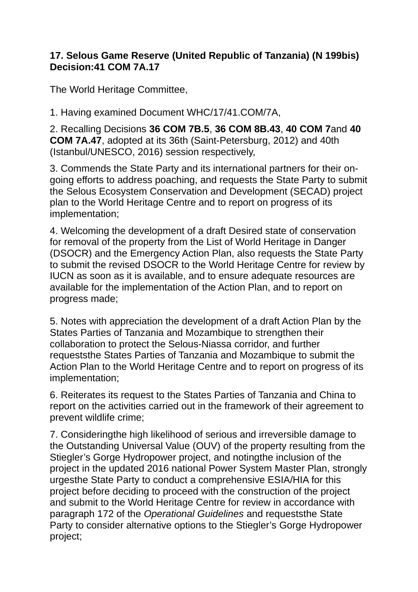## **17. Selous Game Reserve (United Republic of Tanzania) (N 199bis) Decision:41 COM 7A.17**

The World Heritage Committee,

1. Having examined Document WHC/17/41.COM/7A,

2. Recalling Decisions **36 COM 7B.5**, **36 COM 8B.43**, **40 COM 7**and **40 COM 7A.47**, adopted at its 36th (Saint-Petersburg, 2012) and 40th (Istanbul/UNESCO, 2016) session respectively,

3. Commends the State Party and its international partners for their ongoing efforts to address poaching, and requests the State Party to submit the Selous Ecosystem Conservation and Development (SECAD) project plan to the World Heritage Centre and to report on progress of its implementation;

4. Welcoming the development of a draft Desired state of conservation for removal of the property from the List of World Heritage in Danger (DSOCR) and the Emergency Action Plan, also requests the State Party to submit the revised DSOCR to the World Heritage Centre for review by IUCN as soon as it is available, and to ensure adequate resources are available for the implementation of the Action Plan, and to report on progress made;

5. Notes with appreciation the development of a draft Action Plan by the States Parties of Tanzania and Mozambique to strengthen their collaboration to protect the Selous-Niassa corridor, and further requeststhe States Parties of Tanzania and Mozambique to submit the Action Plan to the World Heritage Centre and to report on progress of its implementation;

6. Reiterates its request to the States Parties of Tanzania and China to report on the activities carried out in the framework of their agreement to prevent wildlife crime;

7. Consideringthe high likelihood of serious and irreversible damage to the Outstanding Universal Value (OUV) of the property resulting from the Stiegler's Gorge Hydropower project, and notingthe inclusion of the project in the updated 2016 national Power System Master Plan, strongly urgesthe State Party to conduct a comprehensive ESIA/HIA for this project before deciding to proceed with the construction of the project and submit to the World Heritage Centre for review in accordance with paragraph 172 of the *Operational Guidelines* and requeststhe State Party to consider alternative options to the Stiegler's Gorge Hydropower project;